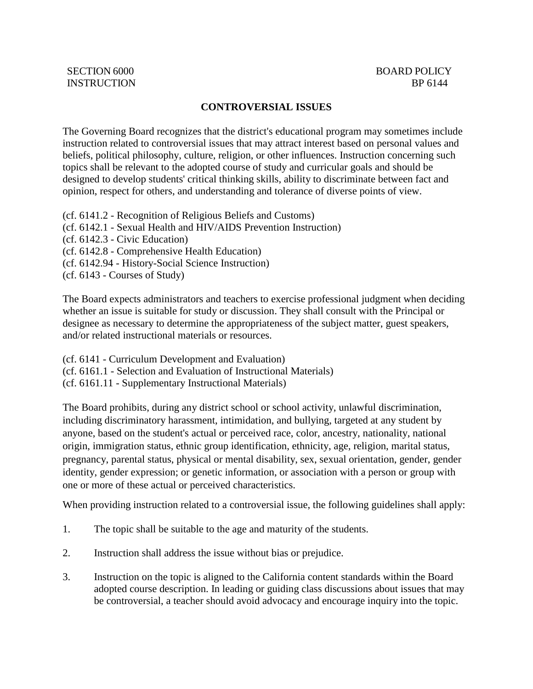## **CONTROVERSIAL ISSUES**

The Governing Board recognizes that the district's educational program may sometimes include instruction related to controversial issues that may attract interest based on personal values and beliefs, political philosophy, culture, religion, or other influences. Instruction concerning such topics shall be relevant to the adopted course of study and curricular goals and should be designed to develop students' critical thinking skills, ability to discriminate between fact and opinion, respect for others, and understanding and tolerance of diverse points of view.

- (cf. 6141.2 Recognition of Religious Beliefs and Customs)
- (cf. 6142.1 Sexual Health and HIV/AIDS Prevention Instruction)
- (cf. 6142.3 Civic Education)
- (cf. 6142.8 Comprehensive Health Education)
- (cf. 6142.94 History-Social Science Instruction)
- (cf. 6143 Courses of Study)

The Board expects administrators and teachers to exercise professional judgment when deciding whether an issue is suitable for study or discussion. They shall consult with the Principal or designee as necessary to determine the appropriateness of the subject matter, guest speakers, and/or related instructional materials or resources.

(cf. 6141 - Curriculum Development and Evaluation)

(cf. 6161.1 - Selection and Evaluation of Instructional Materials)

(cf. 6161.11 - Supplementary Instructional Materials)

The Board prohibits, during any district school or school activity, unlawful discrimination, including discriminatory harassment, intimidation, and bullying, targeted at any student by anyone, based on the student's actual or perceived race, color, ancestry, nationality, national origin, immigration status, ethnic group identification, ethnicity, age, religion, marital status, pregnancy, parental status, physical or mental disability, sex, sexual orientation, gender, gender identity, gender expression; or genetic information, or association with a person or group with one or more of these actual or perceived characteristics.

When providing instruction related to a controversial issue, the following guidelines shall apply:

- 1. The topic shall be suitable to the age and maturity of the students.
- 2. Instruction shall address the issue without bias or prejudice.
- 3. Instruction on the topic is aligned to the California content standards within the Board adopted course description. In leading or guiding class discussions about issues that may be controversial, a teacher should avoid advocacy and encourage inquiry into the topic.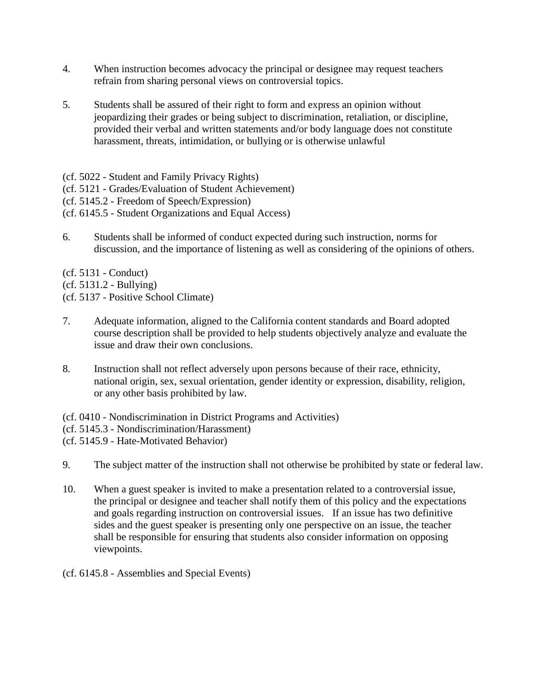- 4. When instruction becomes advocacy the principal or designee may request teachers refrain from sharing personal views on controversial topics.
- 5. Students shall be assured of their right to form and express an opinion without jeopardizing their grades or being subject to discrimination, retaliation, or discipline, provided their verbal and written statements and/or body language does not constitute harassment, threats, intimidation, or bullying or is otherwise unlawful
- (cf. 5022 Student and Family Privacy Rights)
- (cf. 5121 Grades/Evaluation of Student Achievement)
- (cf. 5145.2 Freedom of Speech/Expression)
- (cf. 6145.5 Student Organizations and Equal Access)
- 6. Students shall be informed of conduct expected during such instruction, norms for discussion, and the importance of listening as well as considering of the opinions of others.
- (cf. 5131 Conduct)
- (cf. 5131.2 Bullying)
- (cf. 5137 Positive School Climate)
- 7. Adequate information, aligned to the California content standards and Board adopted course description shall be provided to help students objectively analyze and evaluate the issue and draw their own conclusions.
- 8. Instruction shall not reflect adversely upon persons because of their race, ethnicity, national origin, sex, sexual orientation, gender identity or expression, disability, religion, or any other basis prohibited by law.
- (cf. 0410 Nondiscrimination in District Programs and Activities)
- (cf. 5145.3 Nondiscrimination/Harassment)
- (cf. 5145.9 Hate-Motivated Behavior)
- 9. The subject matter of the instruction shall not otherwise be prohibited by state or federal law.
- 10. When a guest speaker is invited to make a presentation related to a controversial issue, the principal or designee and teacher shall notify them of this policy and the expectations and goals regarding instruction on controversial issues. If an issue has two definitive sides and the guest speaker is presenting only one perspective on an issue, the teacher shall be responsible for ensuring that students also consider information on opposing viewpoints.
- (cf. 6145.8 Assemblies and Special Events)